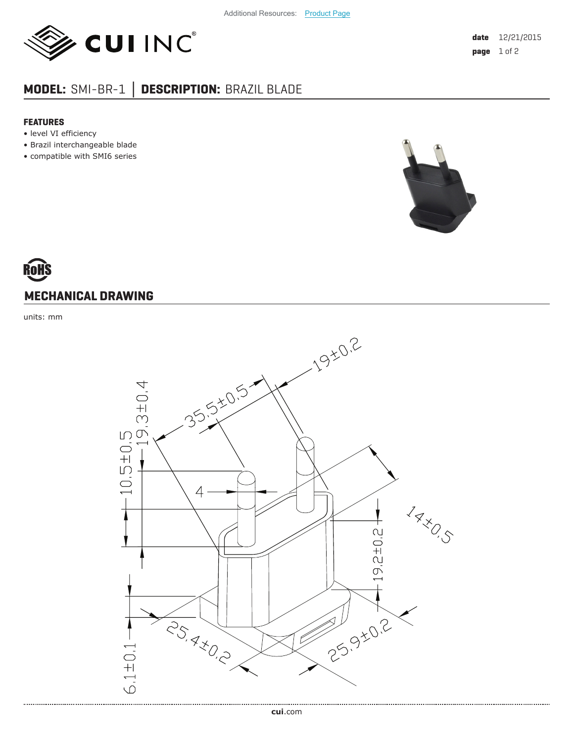

## **MODEL:** SMI-BR-1 **│ DESCRIPTION:** BRAZIL BLADE

## **FEATURES**

- level VI efficiency
- Brazil interchangeable blade
- compatible with SMI6 series



## ROHS **MECHANICAL DRAWING**

units: mm

.....................